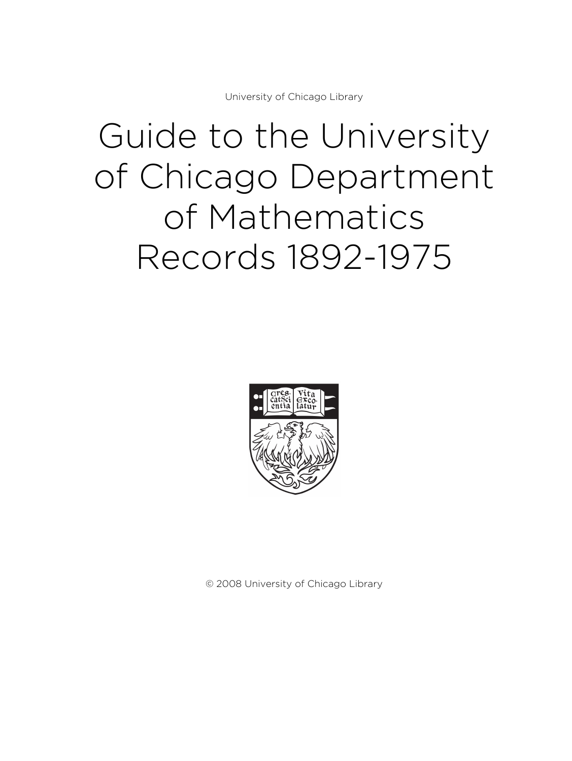University of Chicago Library

# Guide to the University of Chicago Department of Mathematics Records 1892-1975



© 2008 University of Chicago Library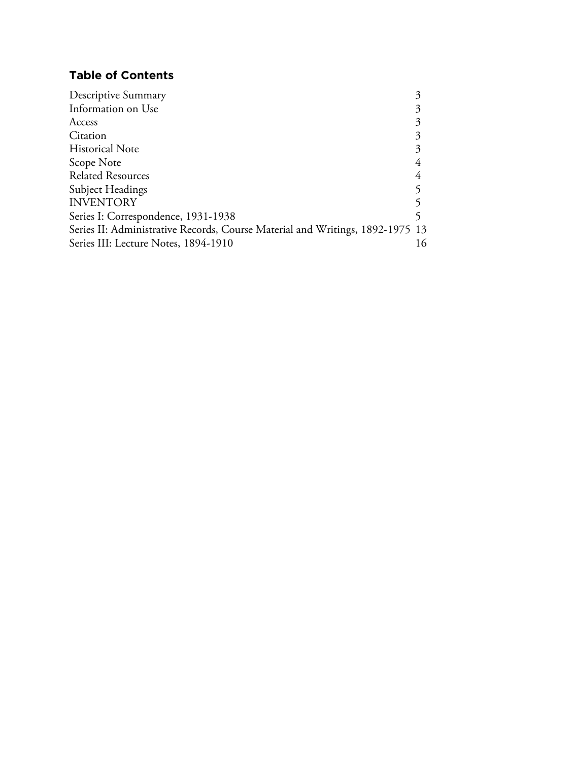# **Table of Contents**

| Descriptive Summary                                                           |    |
|-------------------------------------------------------------------------------|----|
| Information on Use                                                            |    |
| Access                                                                        |    |
| Citation                                                                      |    |
| <b>Historical Note</b>                                                        |    |
| Scope Note                                                                    |    |
| <b>Related Resources</b>                                                      |    |
| <b>Subject Headings</b>                                                       |    |
| <b>INVENTORY</b>                                                              |    |
| Series I: Correspondence, 1931-1938                                           |    |
| Series II: Administrative Records, Course Material and Writings, 1892-1975 13 |    |
| Series III: Lecture Notes, 1894-1910                                          | 16 |
|                                                                               |    |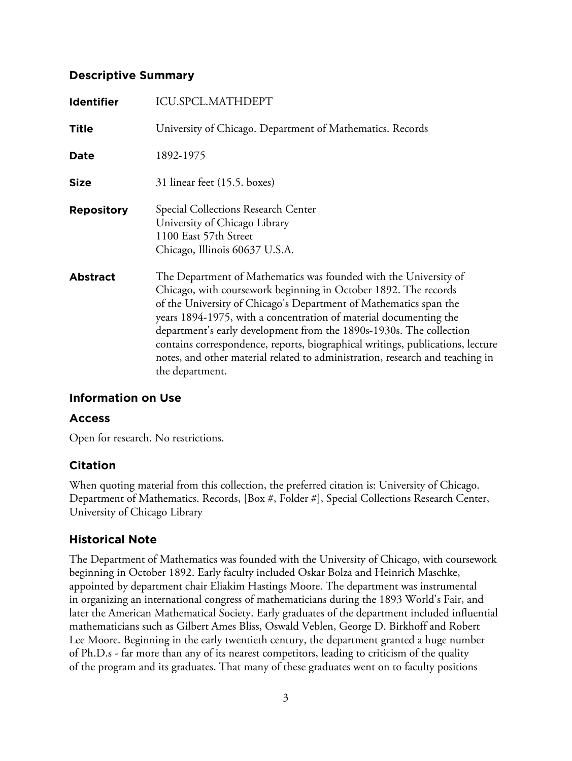# **Descriptive Summary**

| <b>Identifier</b> | ICU.SPCL.MATHDEPT                                                                                                                                                                                                                                                                                                                                                                                                                                                                                                                          |
|-------------------|--------------------------------------------------------------------------------------------------------------------------------------------------------------------------------------------------------------------------------------------------------------------------------------------------------------------------------------------------------------------------------------------------------------------------------------------------------------------------------------------------------------------------------------------|
| <b>Title</b>      | University of Chicago. Department of Mathematics. Records                                                                                                                                                                                                                                                                                                                                                                                                                                                                                  |
| <b>Date</b>       | 1892-1975                                                                                                                                                                                                                                                                                                                                                                                                                                                                                                                                  |
| <b>Size</b>       | 31 linear feet (15.5. boxes)                                                                                                                                                                                                                                                                                                                                                                                                                                                                                                               |
| <b>Repository</b> | Special Collections Research Center<br>University of Chicago Library<br>1100 East 57th Street<br>Chicago, Illinois 60637 U.S.A.                                                                                                                                                                                                                                                                                                                                                                                                            |
| <b>Abstract</b>   | The Department of Mathematics was founded with the University of<br>Chicago, with coursework beginning in October 1892. The records<br>of the University of Chicago's Department of Mathematics span the<br>years 1894-1975, with a concentration of material documenting the<br>department's early development from the 1890s-1930s. The collection<br>contains correspondence, reports, biographical writings, publications, lecture<br>notes, and other material related to administration, research and teaching in<br>the department. |

# **Information on Use**

# **Access**

Open for research. No restrictions.

# **Citation**

When quoting material from this collection, the preferred citation is: University of Chicago. Department of Mathematics. Records, [Box #, Folder #], Special Collections Research Center, University of Chicago Library

# **Historical Note**

The Department of Mathematics was founded with the University of Chicago, with coursework beginning in October 1892. Early faculty included Oskar Bolza and Heinrich Maschke, appointed by department chair Eliakim Hastings Moore. The department was instrumental in organizing an international congress of mathematicians during the 1893 World's Fair, and later the American Mathematical Society. Early graduates of the department included influential mathematicians such as Gilbert Ames Bliss, Oswald Veblen, George D. Birkhoff and Robert Lee Moore. Beginning in the early twentieth century, the department granted a huge number of Ph.D.s - far more than any of its nearest competitors, leading to criticism of the quality of the program and its graduates. That many of these graduates went on to faculty positions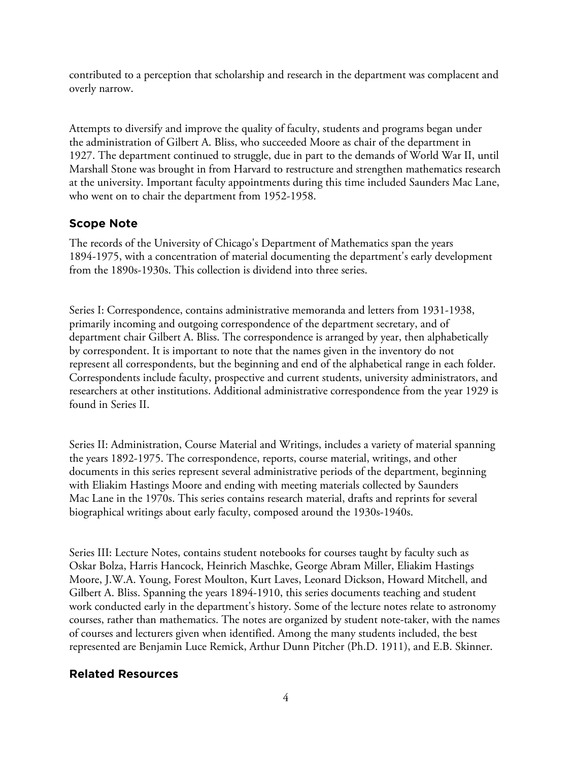contributed to a perception that scholarship and research in the department was complacent and overly narrow.

Attempts to diversify and improve the quality of faculty, students and programs began under the administration of Gilbert A. Bliss, who succeeded Moore as chair of the department in 1927. The department continued to struggle, due in part to the demands of World War II, until Marshall Stone was brought in from Harvard to restructure and strengthen mathematics research at the university. Important faculty appointments during this time included Saunders Mac Lane, who went on to chair the department from 1952-1958.

## **Scope Note**

The records of the University of Chicago's Department of Mathematics span the years 1894-1975, with a concentration of material documenting the department's early development from the 1890s-1930s. This collection is dividend into three series.

Series I: Correspondence, contains administrative memoranda and letters from 1931-1938, primarily incoming and outgoing correspondence of the department secretary, and of department chair Gilbert A. Bliss. The correspondence is arranged by year, then alphabetically by correspondent. It is important to note that the names given in the inventory do not represent all correspondents, but the beginning and end of the alphabetical range in each folder. Correspondents include faculty, prospective and current students, university administrators, and researchers at other institutions. Additional administrative correspondence from the year 1929 is found in Series II.

Series II: Administration, Course Material and Writings, includes a variety of material spanning the years 1892-1975. The correspondence, reports, course material, writings, and other documents in this series represent several administrative periods of the department, beginning with Eliakim Hastings Moore and ending with meeting materials collected by Saunders Mac Lane in the 1970s. This series contains research material, drafts and reprints for several biographical writings about early faculty, composed around the 1930s-1940s.

Series III: Lecture Notes, contains student notebooks for courses taught by faculty such as Oskar Bolza, Harris Hancock, Heinrich Maschke, George Abram Miller, Eliakim Hastings Moore, J.W.A. Young, Forest Moulton, Kurt Laves, Leonard Dickson, Howard Mitchell, and Gilbert A. Bliss. Spanning the years 1894-1910, this series documents teaching and student work conducted early in the department's history. Some of the lecture notes relate to astronomy courses, rather than mathematics. The notes are organized by student note-taker, with the names of courses and lecturers given when identified. Among the many students included, the best represented are Benjamin Luce Remick, Arthur Dunn Pitcher (Ph.D. 1911), and E.B. Skinner.

# **Related Resources**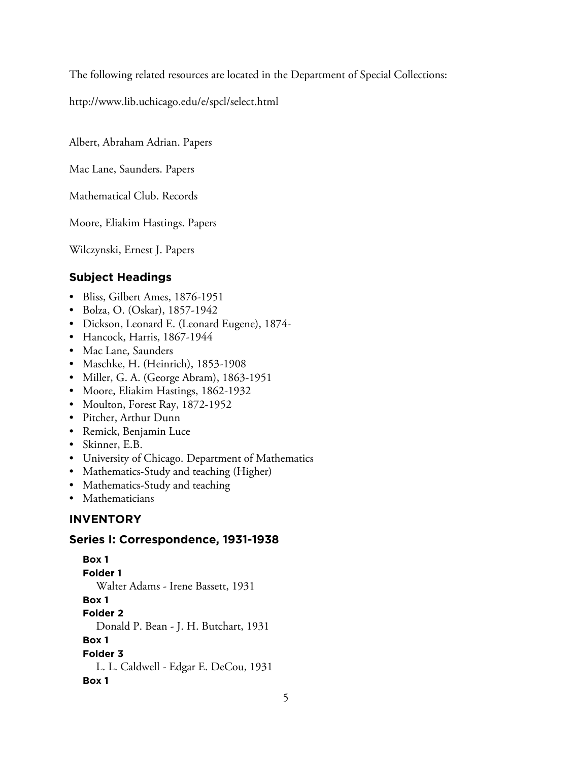The following related resources are located in the Department of Special Collections:

http://www.lib.uchicago.edu/e/spcl/select.html

Albert, Abraham Adrian. Papers

Mac Lane, Saunders. Papers

Mathematical Club. Records

Moore, Eliakim Hastings. Papers

Wilczynski, Ernest J. Papers

# **Subject Headings**

- Bliss, Gilbert Ames, 1876-1951
- Bolza, O. (Oskar), 1857-1942
- Dickson, Leonard E. (Leonard Eugene), 1874-
- Hancock, Harris, 1867-1944
- Mac Lane, Saunders
- Maschke, H. (Heinrich), 1853-1908
- Miller, G. A. (George Abram), 1863-1951
- Moore, Eliakim Hastings, 1862-1932
- Moulton, Forest Ray, 1872-1952
- Pitcher, Arthur Dunn
- Remick, Benjamin Luce
- Skinner, E.B.
- University of Chicago. Department of Mathematics
- Mathematics-Study and teaching (Higher)
- Mathematics-Study and teaching
- Mathematicians

# **INVENTORY**

## **Series I: Correspondence, 1931-1938**

**Box 1 Folder 1** Walter Adams - Irene Bassett, 1931 **Box 1 Folder 2** Donald P. Bean - J. H. Butchart, 1931 **Box 1 Folder 3** L. L. Caldwell - Edgar E. DeCou, 1931 **Box 1**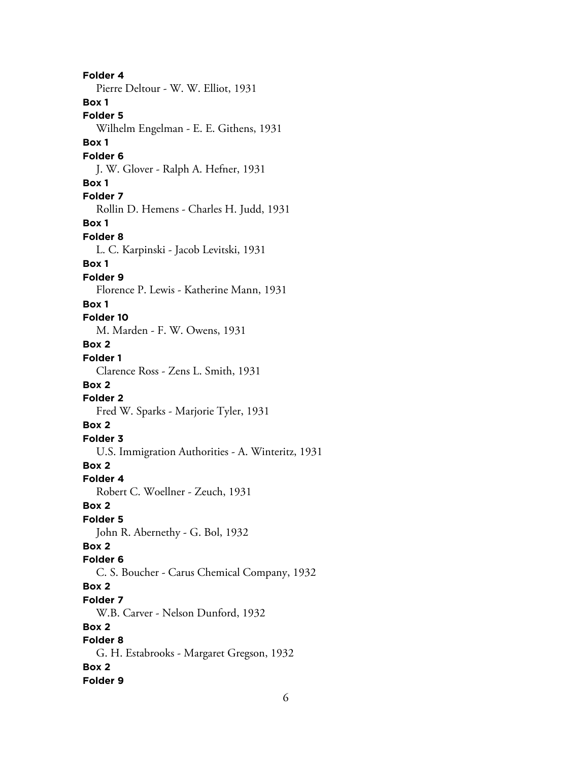**Folder 4** Pierre Deltour - W. W. Elliot, 1931 **Box 1 Folder 5** Wilhelm Engelman - E. E. Githens, 1931 **Box 1 Folder 6** J. W. Glover - Ralph A. Hefner, 1931 **Box 1 Folder 7** Rollin D. Hemens - Charles H. Judd, 1931 **Box 1 Folder 8** L. C. Karpinski - Jacob Levitski, 1931 **Box 1 Folder 9** Florence P. Lewis - Katherine Mann, 1931 **Box 1 Folder 10** M. Marden - F. W. Owens, 1931 **Box 2 Folder 1** Clarence Ross - Zens L. Smith, 1931 **Box 2 Folder 2** Fred W. Sparks - Marjorie Tyler, 1931 **Box 2 Folder 3** U.S. Immigration Authorities - A. Winteritz, 1931 **Box 2 Folder 4** Robert C. Woellner - Zeuch, 1931 **Box 2 Folder 5** John R. Abernethy - G. Bol, 1932 **Box 2 Folder 6** C. S. Boucher - Carus Chemical Company, 1932 **Box 2 Folder 7** W.B. Carver - Nelson Dunford, 1932 **Box 2 Folder 8** G. H. Estabrooks - Margaret Gregson, 1932 **Box 2 Folder 9**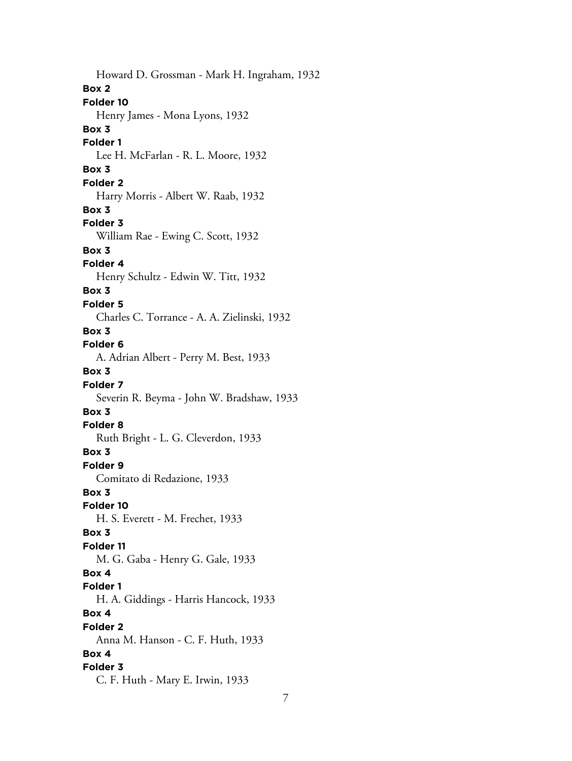Howard D. Grossman - Mark H. Ingraham, 1932 **Box 2 Folder 10** Henry James - Mona Lyons, 1932 **Box 3 Folder 1** Lee H. McFarlan - R. L. Moore, 1932 **Box 3 Folder 2** Harry Morris - Albert W. Raab, 1932 **Box 3 Folder 3** William Rae - Ewing C. Scott, 1932 **Box 3 Folder 4** Henry Schultz - Edwin W. Titt, 1932 **Box 3 Folder 5** Charles C. Torrance - A. A. Zielinski, 1932 **Box 3 Folder 6** A. Adrian Albert - Perry M. Best, 1933 **Box 3 Folder 7** Severin R. Beyma - John W. Bradshaw, 1933 **Box 3 Folder 8** Ruth Bright - L. G. Cleverdon, 1933 **Box 3 Folder 9** Comitato di Redazione, 1933 **Box 3 Folder 10** H. S. Everett - M. Frechet, 1933 **Box 3 Folder 11** M. G. Gaba - Henry G. Gale, 1933 **Box 4 Folder 1** H. A. Giddings - Harris Hancock, 1933 **Box 4 Folder 2** Anna M. Hanson - C. F. Huth, 1933 **Box 4 Folder 3** C. F. Huth - Mary E. Irwin, 1933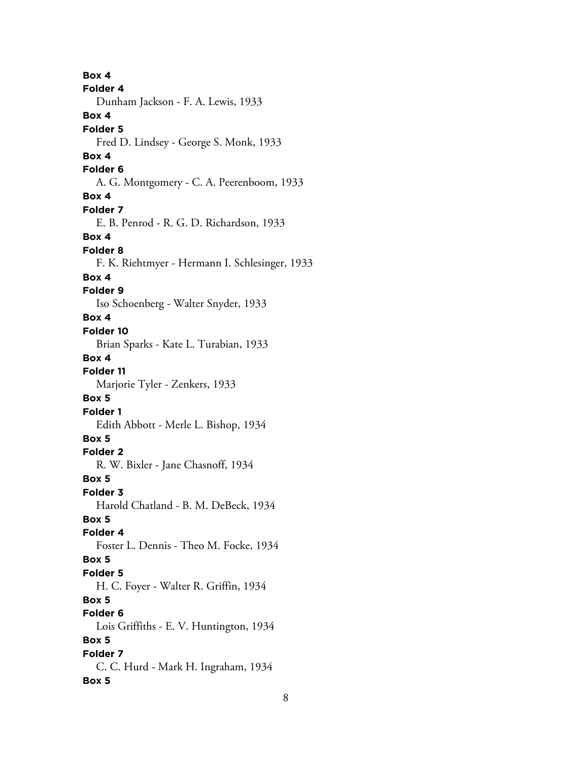**Box 4 Folder 4** Dunham Jackson - F. A. Lewis, 1933 **Box 4 Folder 5** Fred D. Lindsey - George S. Monk, 1933 **Box 4 Folder 6** A. G. Montgomery - C. A. Peerenboom, 1933 **Box 4 Folder 7** E. B. Penrod - R. G. D. Richardson, 1933 **Box 4 Folder 8** F. K. Riehtmyer - Hermann I. Schlesinger, 1933 **Box 4 Folder 9** Iso Schoenberg - Walter Snyder, 1933 **Box 4 Folder 10** Brian Sparks - Kate L. Turabian, 1933 **Box 4 Folder 11** Marjorie Tyler - Zenkers, 1933 **Box 5 Folder 1** Edith Abbott - Merle L. Bishop, 1934 **Box 5 Folder 2** R. W. Bixler - Jane Chasnoff, 1934 **Box 5 Folder 3** Harold Chatland - B. M. DeBeck, 1934 **Box 5 Folder 4** Foster L. Dennis - Theo M. Focke, 1934 **Box 5 Folder 5** H. C. Foyer - Walter R. Griffin, 1934 **Box 5 Folder 6** Lois Griffiths - E. V. Huntington, 1934 **Box 5 Folder 7** C. C. Hurd - Mark H. Ingraham, 1934 **Box 5**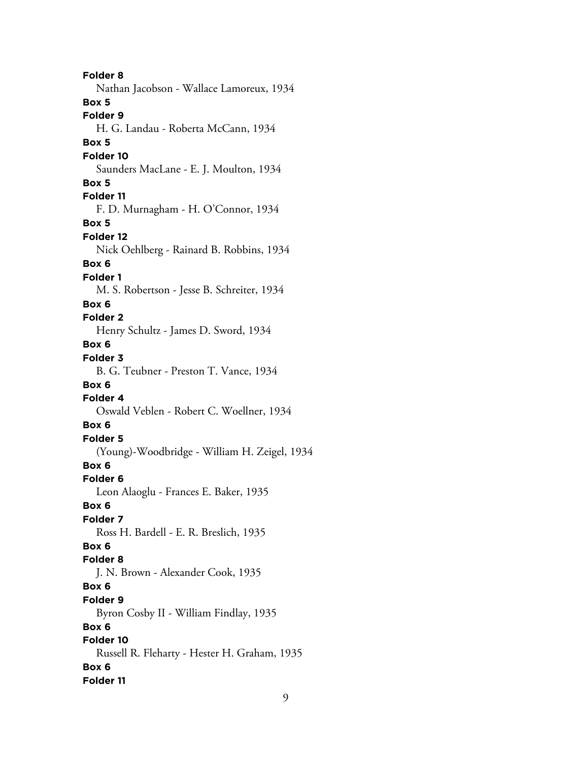**Folder 8** Nathan Jacobson - Wallace Lamoreux, 1934 **Box 5 Folder 9** H. G. Landau - Roberta McCann, 1934 **Box 5 Folder 10** Saunders MacLane - E. J. Moulton, 1934 **Box 5 Folder 11** F. D. Murnagham - H. O'Connor, 1934 **Box 5 Folder 12** Nick Oehlberg - Rainard B. Robbins, 1934 **Box 6 Folder 1** M. S. Robertson - Jesse B. Schreiter, 1934 **Box 6 Folder 2** Henry Schultz - James D. Sword, 1934 **Box 6 Folder 3** B. G. Teubner - Preston T. Vance, 1934 **Box 6 Folder 4** Oswald Veblen - Robert C. Woellner, 1934 **Box 6 Folder 5** (Young)-Woodbridge - William H. Zeigel, 1934 **Box 6 Folder 6** Leon Alaoglu - Frances E. Baker, 1935 **Box 6 Folder 7** Ross H. Bardell - E. R. Breslich, 1935 **Box 6 Folder 8** J. N. Brown - Alexander Cook, 1935 **Box 6 Folder 9** Byron Cosby II - William Findlay, 1935 **Box 6 Folder 10** Russell R. Fleharty - Hester H. Graham, 1935 **Box 6 Folder 11**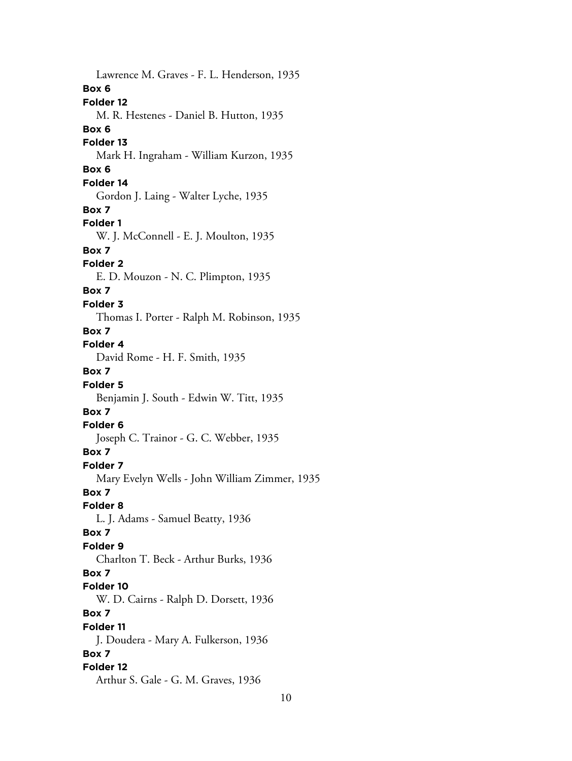Lawrence M. Graves - F. L. Henderson, 1935 **Box 6 Folder 12** M. R. Hestenes - Daniel B. Hutton, 1935 **Box 6 Folder 13** Mark H. Ingraham - William Kurzon, 1935 **Box 6 Folder 14** Gordon J. Laing - Walter Lyche, 1935 **Box 7 Folder 1** W. J. McConnell - E. J. Moulton, 1935 **Box 7 Folder 2** E. D. Mouzon - N. C. Plimpton, 1935 **Box 7 Folder 3** Thomas I. Porter - Ralph M. Robinson, 1935 **Box 7 Folder 4** David Rome - H. F. Smith, 1935 **Box 7 Folder 5** Benjamin J. South - Edwin W. Titt, 1935 **Box 7 Folder 6** Joseph C. Trainor - G. C. Webber, 1935 **Box 7 Folder 7** Mary Evelyn Wells - John William Zimmer, 1935 **Box 7 Folder 8** L. J. Adams - Samuel Beatty, 1936 **Box 7 Folder 9** Charlton T. Beck - Arthur Burks, 1936 **Box 7 Folder 10** W. D. Cairns - Ralph D. Dorsett, 1936 **Box 7 Folder 11** J. Doudera - Mary A. Fulkerson, 1936 **Box 7 Folder 12** Arthur S. Gale - G. M. Graves, 1936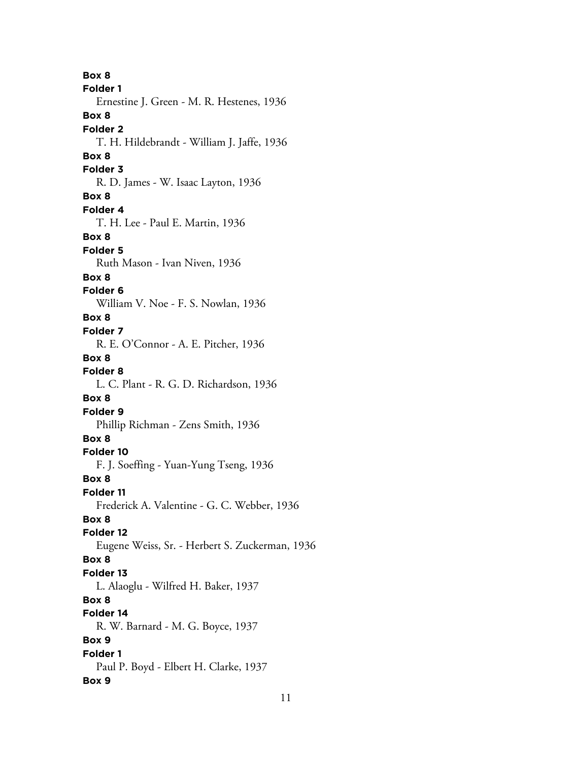**Box 8 Folder 1** Ernestine J. Green - M. R. Hestenes, 1936 **Box 8 Folder 2** T. H. Hildebrandt - William J. Jaffe, 1936 **Box 8 Folder 3** R. D. James - W. Isaac Layton, 1936 **Box 8 Folder 4** T. H. Lee - Paul E. Martin, 1936 **Box 8 Folder 5** Ruth Mason - Ivan Niven, 1936 **Box 8 Folder 6** William V. Noe - F. S. Nowlan, 1936 **Box 8 Folder 7** R. E. O'Connor - A. E. Pitcher, 1936 **Box 8 Folder 8** L. C. Plant - R. G. D. Richardson, 1936 **Box 8 Folder 9** Phillip Richman - Zens Smith, 1936 **Box 8 Folder 10** F. J. Soeffing - Yuan-Yung Tseng, 1936 **Box 8 Folder 11** Frederick A. Valentine - G. C. Webber, 1936 **Box 8 Folder 12** Eugene Weiss, Sr. - Herbert S. Zuckerman, 1936 **Box 8 Folder 13** L. Alaoglu - Wilfred H. Baker, 1937 **Box 8 Folder 14** R. W. Barnard - M. G. Boyce, 1937 **Box 9 Folder 1** Paul P. Boyd - Elbert H. Clarke, 1937 **Box 9**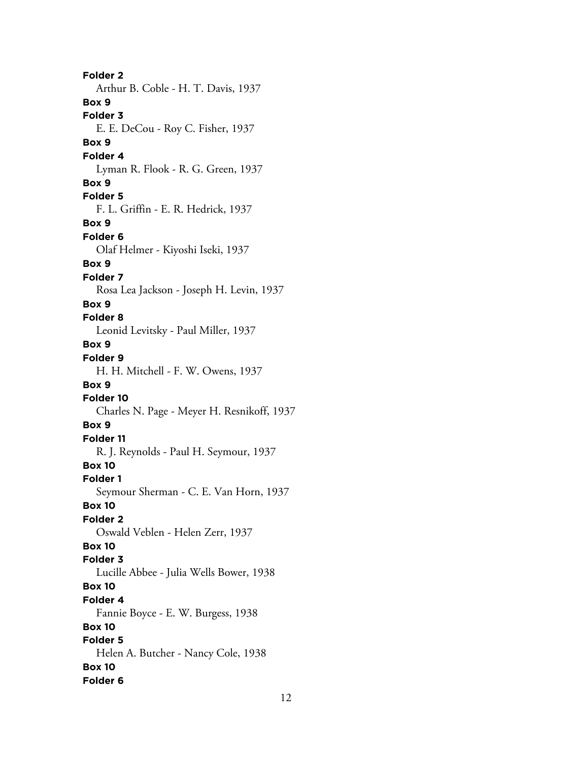**Folder 2** Arthur B. Coble - H. T. Davis, 1937 **Box 9 Folder 3** E. E. DeCou - Roy C. Fisher, 1937 **Box 9 Folder 4** Lyman R. Flook - R. G. Green, 1937 **Box 9 Folder 5** F. L. Griffin - E. R. Hedrick, 1937 **Box 9 Folder 6** Olaf Helmer - Kiyoshi Iseki, 1937 **Box 9 Folder 7** Rosa Lea Jackson - Joseph H. Levin, 1937 **Box 9 Folder 8** Leonid Levitsky - Paul Miller, 1937 **Box 9 Folder 9** H. H. Mitchell - F. W. Owens, 1937 **Box 9 Folder 10** Charles N. Page - Meyer H. Resnikoff, 1937 **Box 9 Folder 11** R. J. Reynolds - Paul H. Seymour, 1937 **Box 10 Folder 1** Seymour Sherman - C. E. Van Horn, 1937 **Box 10 Folder 2** Oswald Veblen - Helen Zerr, 1937 **Box 10 Folder 3** Lucille Abbee - Julia Wells Bower, 1938 **Box 10 Folder 4** Fannie Boyce - E. W. Burgess, 1938 **Box 10 Folder 5** Helen A. Butcher - Nancy Cole, 1938 **Box 10 Folder 6**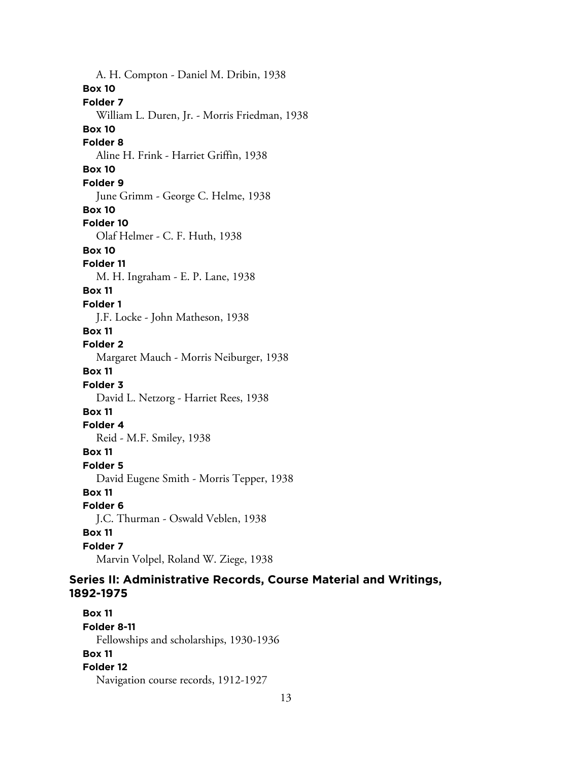A. H. Compton - Daniel M. Dribin, 1938 **Box 10 Folder 7** William L. Duren, Jr. - Morris Friedman, 1938 **Box 10 Folder 8** Aline H. Frink - Harriet Griffin, 1938 **Box 10 Folder 9** June Grimm - George C. Helme, 1938 **Box 10 Folder 10** Olaf Helmer - C. F. Huth, 1938 **Box 10 Folder 11** M. H. Ingraham - E. P. Lane, 1938 **Box 11 Folder 1** J.F. Locke - John Matheson, 1938 **Box 11 Folder 2** Margaret Mauch - Morris Neiburger, 1938 **Box 11 Folder 3** David L. Netzorg - Harriet Rees, 1938 **Box 11 Folder 4** Reid - M.F. Smiley, 1938 **Box 11 Folder 5** David Eugene Smith - Morris Tepper, 1938 **Box 11 Folder 6** J.C. Thurman - Oswald Veblen, 1938 **Box 11 Folder 7** Marvin Volpel, Roland W. Ziege, 1938

# **Series II: Administrative Records, Course Material and Writings, 1892-1975**

**Box 11 Folder 8-11** Fellowships and scholarships, 1930-1936 **Box 11 Folder 12** Navigation course records, 1912-1927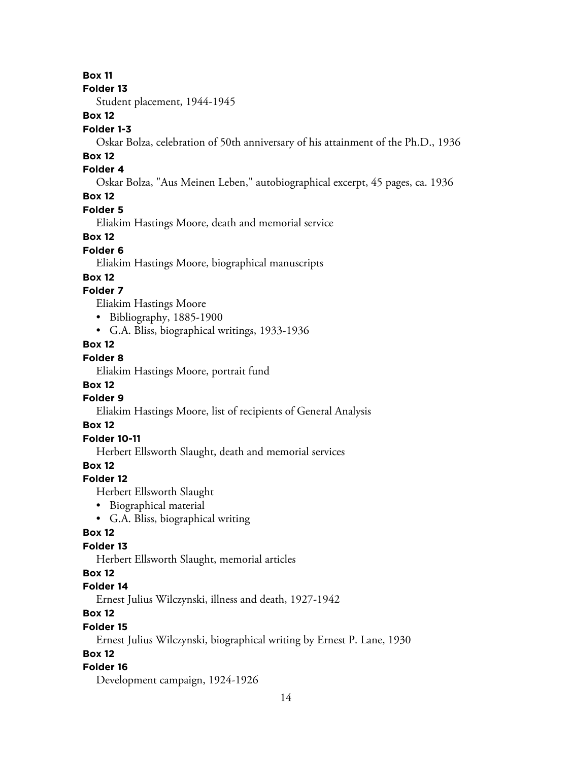#### **Folder 13**

Student placement, 1944-1945

## **Box 12**

#### **Folder 1-3**

Oskar Bolza, celebration of 50th anniversary of his attainment of the Ph.D., 1936

## **Box 12**

## **Folder 4**

Oskar Bolza, "Aus Meinen Leben," autobiographical excerpt, 45 pages, ca. 1936

# **Box 12**

## **Folder 5**

Eliakim Hastings Moore, death and memorial service

## **Box 12**

## **Folder 6**

Eliakim Hastings Moore, biographical manuscripts

## **Box 12**

## **Folder 7**

Eliakim Hastings Moore

- Bibliography, 1885-1900
- G.A. Bliss, biographical writings, 1933-1936

# **Box 12**

## **Folder 8**

Eliakim Hastings Moore, portrait fund

# **Box 12**

## **Folder 9**

Eliakim Hastings Moore, list of recipients of General Analysis

# **Box 12**

# **Folder 10-11**

Herbert Ellsworth Slaught, death and memorial services

# **Box 12**

# **Folder 12**

Herbert Ellsworth Slaught

- Biographical material
- G.A. Bliss, biographical writing

# **Box 12**

# **Folder 13**

Herbert Ellsworth Slaught, memorial articles

## **Box 12**

## **Folder 14**

Ernest Julius Wilczynski, illness and death, 1927-1942

# **Box 12**

# **Folder 15**

Ernest Julius Wilczynski, biographical writing by Ernest P. Lane, 1930

# **Box 12**

# **Folder 16**

Development campaign, 1924-1926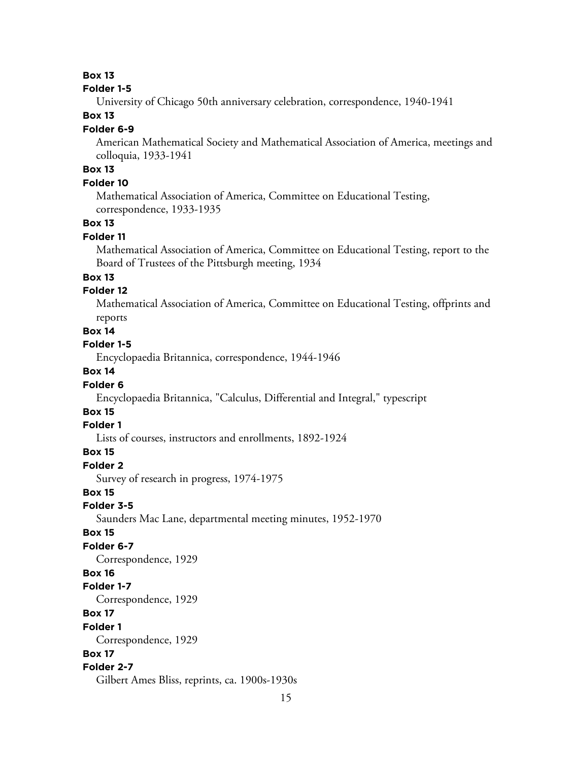#### **Folder 1-5**

University of Chicago 50th anniversary celebration, correspondence, 1940-1941

## **Box 13**

#### **Folder 6-9**

American Mathematical Society and Mathematical Association of America, meetings and colloquia, 1933-1941

# **Box 13**

#### **Folder 10**

Mathematical Association of America, Committee on Educational Testing, correspondence, 1933-1935

# **Box 13**

#### **Folder 11**

Mathematical Association of America, Committee on Educational Testing, report to the Board of Trustees of the Pittsburgh meeting, 1934

#### **Box 13**

## **Folder 12**

Mathematical Association of America, Committee on Educational Testing, offprints and reports

#### **Box 14**

#### **Folder 1-5**

Encyclopaedia Britannica, correspondence, 1944-1946

#### **Box 14**

#### **Folder 6**

Encyclopaedia Britannica, "Calculus, Differential and Integral," typescript

## **Box 15**

#### **Folder 1**

Lists of courses, instructors and enrollments, 1892-1924

#### **Box 15**

## **Folder 2**

Survey of research in progress, 1974-1975

#### **Box 15**

**Folder 3-5**

Saunders Mac Lane, departmental meeting minutes, 1952-1970

#### **Box 15**

#### **Folder 6-7**

Correspondence, 1929

#### **Box 16**

#### **Folder 1-7**

Correspondence, 1929

#### **Box 17**

**Folder 1**

Correspondence, 1929

#### **Box 17**

#### **Folder 2-7**

Gilbert Ames Bliss, reprints, ca. 1900s-1930s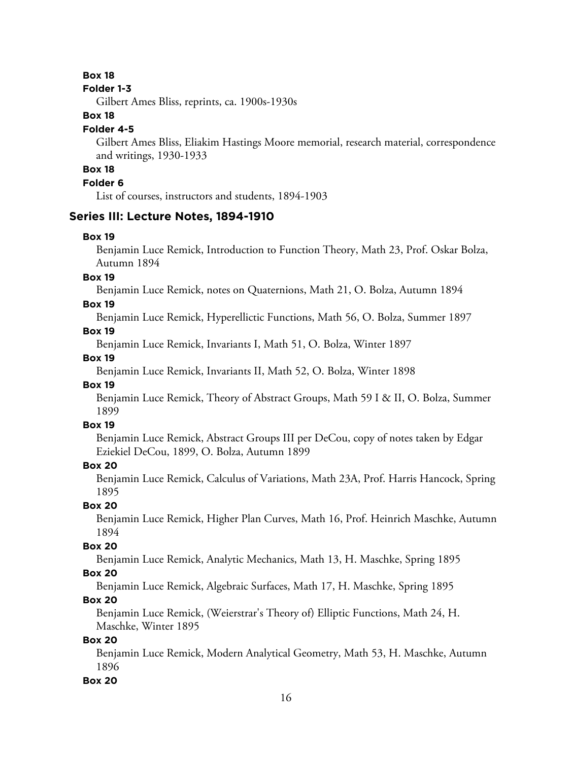#### **Folder 1-3**

Gilbert Ames Bliss, reprints, ca. 1900s-1930s

## **Box 18**

#### **Folder 4-5**

Gilbert Ames Bliss, Eliakim Hastings Moore memorial, research material, correspondence and writings, 1930-1933

# **Box 18**

## **Folder 6**

List of courses, instructors and students, 1894-1903

## **Series III: Lecture Notes, 1894-1910**

#### **Box 19**

Benjamin Luce Remick, Introduction to Function Theory, Math 23, Prof. Oskar Bolza, Autumn 1894

#### **Box 19**

Benjamin Luce Remick, notes on Quaternions, Math 21, O. Bolza, Autumn 1894

#### **Box 19**

Benjamin Luce Remick, Hyperellictic Functions, Math 56, O. Bolza, Summer 1897

## **Box 19**

Benjamin Luce Remick, Invariants I, Math 51, O. Bolza, Winter 1897

## **Box 19**

Benjamin Luce Remick, Invariants II, Math 52, O. Bolza, Winter 1898

#### **Box 19**

Benjamin Luce Remick, Theory of Abstract Groups, Math 59 I & II, O. Bolza, Summer 1899

## **Box 19**

Benjamin Luce Remick, Abstract Groups III per DeCou, copy of notes taken by Edgar Eziekiel DeCou, 1899, O. Bolza, Autumn 1899

## **Box 20**

Benjamin Luce Remick, Calculus of Variations, Math 23A, Prof. Harris Hancock, Spring 1895

## **Box 20**

Benjamin Luce Remick, Higher Plan Curves, Math 16, Prof. Heinrich Maschke, Autumn 1894

## **Box 20**

Benjamin Luce Remick, Analytic Mechanics, Math 13, H. Maschke, Spring 1895

## **Box 20**

Benjamin Luce Remick, Algebraic Surfaces, Math 17, H. Maschke, Spring 1895

## **Box 20**

Benjamin Luce Remick, (Weierstrar's Theory of) Elliptic Functions, Math 24, H. Maschke, Winter 1895

## **Box 20**

Benjamin Luce Remick, Modern Analytical Geometry, Math 53, H. Maschke, Autumn 1896

## **Box 20**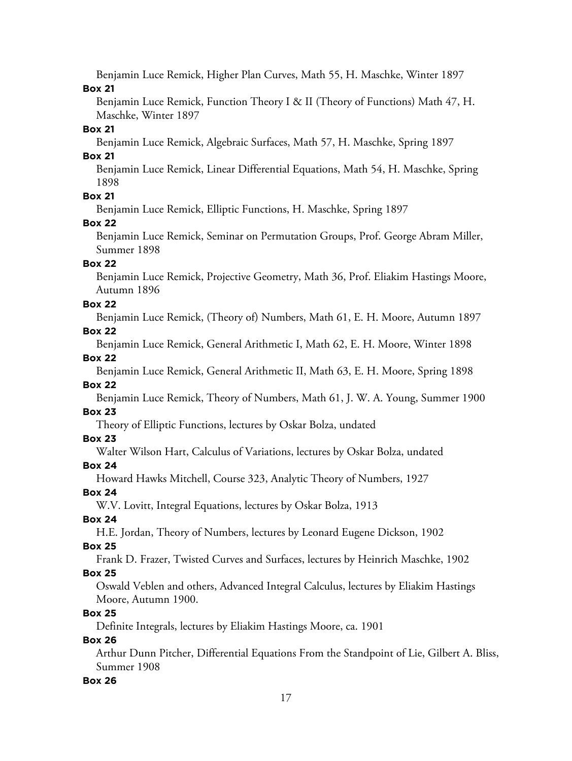Benjamin Luce Remick, Higher Plan Curves, Math 55, H. Maschke, Winter 1897 **Box 21**

Benjamin Luce Remick, Function Theory I & II (Theory of Functions) Math 47, H. Maschke, Winter 1897

#### **Box 21**

Benjamin Luce Remick, Algebraic Surfaces, Math 57, H. Maschke, Spring 1897

#### **Box 21**

Benjamin Luce Remick, Linear Differential Equations, Math 54, H. Maschke, Spring 1898

## **Box 21**

Benjamin Luce Remick, Elliptic Functions, H. Maschke, Spring 1897

**Box 22**

Benjamin Luce Remick, Seminar on Permutation Groups, Prof. George Abram Miller, Summer 1898

## **Box 22**

Benjamin Luce Remick, Projective Geometry, Math 36, Prof. Eliakim Hastings Moore, Autumn 1896

## **Box 22**

Benjamin Luce Remick, (Theory of) Numbers, Math 61, E. H. Moore, Autumn 1897 **Box 22**

Benjamin Luce Remick, General Arithmetic I, Math 62, E. H. Moore, Winter 1898

## **Box 22**

Benjamin Luce Remick, General Arithmetic II, Math 63, E. H. Moore, Spring 1898

## **Box 22**

Benjamin Luce Remick, Theory of Numbers, Math 61, J. W. A. Young, Summer 1900 **Box 23**

Theory of Elliptic Functions, lectures by Oskar Bolza, undated

## **Box 23**

Walter Wilson Hart, Calculus of Variations, lectures by Oskar Bolza, undated

# **Box 24**

Howard Hawks Mitchell, Course 323, Analytic Theory of Numbers, 1927

## **Box 24**

W.V. Lovitt, Integral Equations, lectures by Oskar Bolza, 1913

# **Box 24**

H.E. Jordan, Theory of Numbers, lectures by Leonard Eugene Dickson, 1902

# **Box 25**

Frank D. Frazer, Twisted Curves and Surfaces, lectures by Heinrich Maschke, 1902

# **Box 25**

Oswald Veblen and others, Advanced Integral Calculus, lectures by Eliakim Hastings Moore, Autumn 1900.

# **Box 25**

Definite Integrals, lectures by Eliakim Hastings Moore, ca. 1901

# **Box 26**

Arthur Dunn Pitcher, Differential Equations From the Standpoint of Lie, Gilbert A. Bliss, Summer 1908

## **Box 26**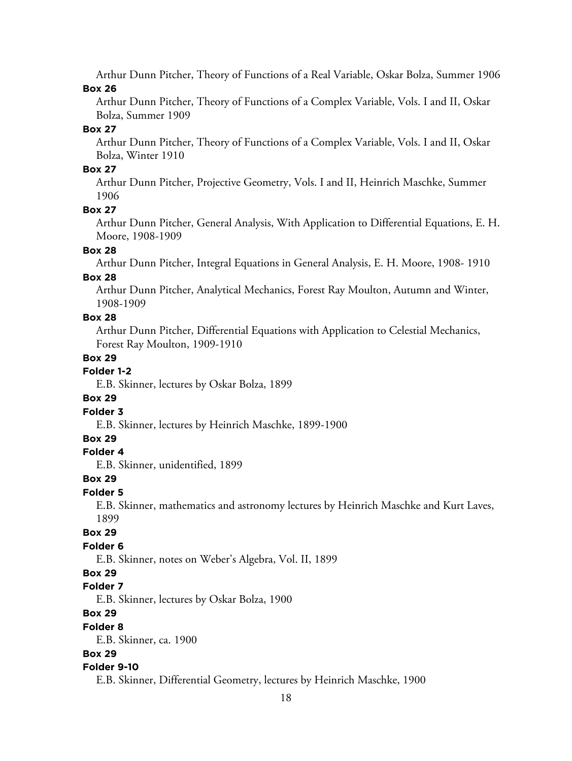Arthur Dunn Pitcher, Theory of Functions of a Real Variable, Oskar Bolza, Summer 1906 **Box 26**

Arthur Dunn Pitcher, Theory of Functions of a Complex Variable, Vols. I and II, Oskar Bolza, Summer 1909

#### **Box 27**

Arthur Dunn Pitcher, Theory of Functions of a Complex Variable, Vols. I and II, Oskar Bolza, Winter 1910

#### **Box 27**

Arthur Dunn Pitcher, Projective Geometry, Vols. I and II, Heinrich Maschke, Summer 1906

#### **Box 27**

Arthur Dunn Pitcher, General Analysis, With Application to Differential Equations, E. H. Moore, 1908-1909

#### **Box 28**

Arthur Dunn Pitcher, Integral Equations in General Analysis, E. H. Moore, 1908- 1910

#### **Box 28**

Arthur Dunn Pitcher, Analytical Mechanics, Forest Ray Moulton, Autumn and Winter, 1908-1909

#### **Box 28**

Arthur Dunn Pitcher, Differential Equations with Application to Celestial Mechanics, Forest Ray Moulton, 1909-1910

#### **Box 29**

## **Folder 1-2**

E.B. Skinner, lectures by Oskar Bolza, 1899

#### **Box 29**

#### **Folder 3**

E.B. Skinner, lectures by Heinrich Maschke, 1899-1900

#### **Box 29**

#### **Folder 4**

E.B. Skinner, unidentified, 1899

#### **Box 29**

## **Folder 5**

E.B. Skinner, mathematics and astronomy lectures by Heinrich Maschke and Kurt Laves, 1899

# **Box 29**

#### **Folder 6**

E.B. Skinner, notes on Weber's Algebra, Vol. II, 1899

#### **Box 29**

#### **Folder 7**

E.B. Skinner, lectures by Oskar Bolza, 1900

# **Box 29**

#### **Folder 8**

E.B. Skinner, ca. 1900

#### **Box 29**

#### **Folder 9-10**

E.B. Skinner, Differential Geometry, lectures by Heinrich Maschke, 1900